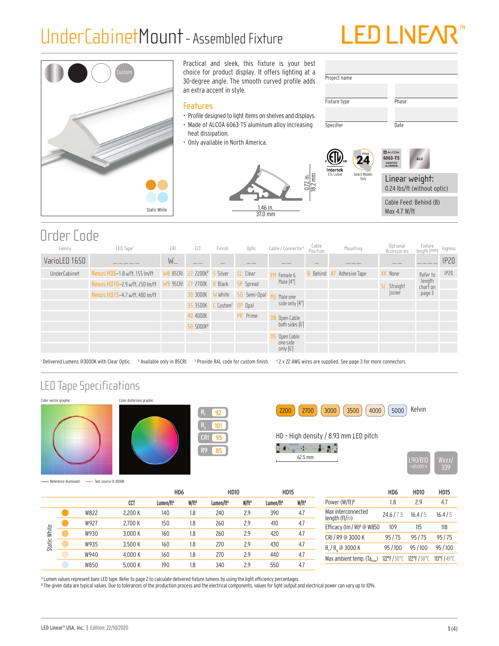# UnderCabinetMount- Assembled Fixture





# Order Code

| Family              | LED Tape <sup>1</sup>          | CRI               | CCT                                           | Finish         | Optic            | Cable / Connector <sup>4</sup> | Cable<br>Position | Mounting             | Optional<br>Accessories | Fixture<br>Iength (mm | Ingress |
|---------------------|--------------------------------|-------------------|-----------------------------------------------|----------------|------------------|--------------------------------|-------------------|----------------------|-------------------------|-----------------------|---------|
| VarioLED 1650       |                                | $W_{-}$           |                                               |                |                  |                                |                   |                      |                         |                       | IP20    |
| <b>UnderCabinet</b> | Nexus HD6-1.8 w/ft, 155 lm/ft  |                   | <b>WB 85CRI 22 2200K<sup>2</sup> 5 Silver</b> |                | <b>CL</b> Clear  | Female &                       | Behind            | Adhesive Tape<br>-AT | XX None                 | Refer to              | IP20    |
|                     | Nexus HD10-2.9 w/ft, 250 lm/ft | W9 95CRI 27 2700K |                                               | <b>B</b> Black | <b>SP</b> Spread | Male [4"]                      |                   |                      | Straight<br>-SI         | length<br>char† on    |         |
|                     | Nexus HD15-4.7 w/ft, 400 lm/ft |                   | 30 3000K                                      | W White        | 50 Semi-Opal     | Male one                       |                   |                      | Joiner                  | page 3                |         |
|                     |                                |                   | $35$ 3500K $\,$ C Custom <sup>3</sup> OP Opal |                |                  | side only [4"]                 |                   |                      |                         |                       |         |
|                     |                                |                   | 40 4000K                                      |                | PR Prime         | <b>OB</b> Open Cable           |                   |                      |                         |                       |         |
|                     |                                |                   | 50 5000K <sup>2</sup>                         |                |                  | both sides [6]                 |                   |                      |                         |                       |         |
|                     |                                |                   |                                               |                |                  | OS Open Cable                  |                   |                      |                         |                       |         |
|                     |                                |                   |                                               |                |                  | one side<br>only $[6]$         |                   |                      |                         |                       |         |

'Delivered Lumens @3000K with Clear Optic. <sup>2</sup> Available only in 85CRI. <sup>3</sup> Provide RAL code for custom finish. 42 x 22 AWG wires are supplied. See page 3 for more connectors.

## LED Tape Specifications







<mark>2200 |</mark> (2700 | (3000 ) (3500 ) (4000 ) (5000 ) Kelvin

HD – High density / 8.93 mm LED pitch

 $\mathbf{u} = \mathbf{u} + \mathbf{v} + \mathbf{v} + \mathbf{v} + \mathbf{v} + \mathbf{v}$ 



- Reference illuminant - Test source @ 3000K

|        |      |         | H <sub>D6</sub>       |                   | <b>HD10</b>           |                   | <b>HD15</b>           |                   |
|--------|------|---------|-----------------------|-------------------|-----------------------|-------------------|-----------------------|-------------------|
|        |      | CCT     | Lumen/ft <sup>A</sup> | W/ft <sup>B</sup> | Lumen/ft <sup>A</sup> | W/ft <sup>B</sup> | Lumen/ft <sup>A</sup> | W/ft <sup>B</sup> |
|        | W822 | 2.200 K | 140                   | 1.8               | 240                   | 2.9               | 390                   | 4.7               |
|        | W927 | 2.700 K | 150                   | 1.8               | 260                   | 2.9               | 410                   | 4.7               |
| White  | W930 | 3.000 K | 160                   | 1.8               | 260                   | 2.9               | 420                   | 4.7               |
| Static | W935 | 3.500 K | 160                   | 1.8               | 270                   | 2.9               | 430                   | 4.7               |
|        | W940 | 4.000 K | 160                   | 1.8               | 270                   | 2.9               | 440                   | 4.7               |
|        | W850 | 5.000 K | 190                   | 1.8               | 340                   | 2.9               | 550                   | 4.7               |

|                                        | HD6          | <b>HD10</b> | <b>HD15</b> |
|----------------------------------------|--------------|-------------|-------------|
| Power (W/ft) <sup>B</sup>              | 1.8          | 29          | 47          |
| Max interconnected<br>length $(ft/m)$  | 24.6/7.5     | 16.4/5      | 16.4/5      |
| Efficacy (Im / W) <sup>8</sup> @ W850  | 109          | 115         | 118         |
| CRI / R9 @ 3000 K                      | 95/75        | 95/75       | 95/75       |
| $R_f/R_a$ @ 3000 K                     | 95/100       | 95/100      | 95/100      |
| Max ambient temp. (Ta <sub>max</sub> ) | 122°F / 50°C | 122°F/50°C  | 113°F/45°C  |
|                                        |              |             |             |

A Lumen values represent bare LED tape. Refer to page 2 to calculate delivered fixture lumens by using the light efficiency percentages.

 $^{\circ}$  The given data are typical values. Due to tolerances of the production process and the electrical components, values for light output and electrical power can vary up to 10%.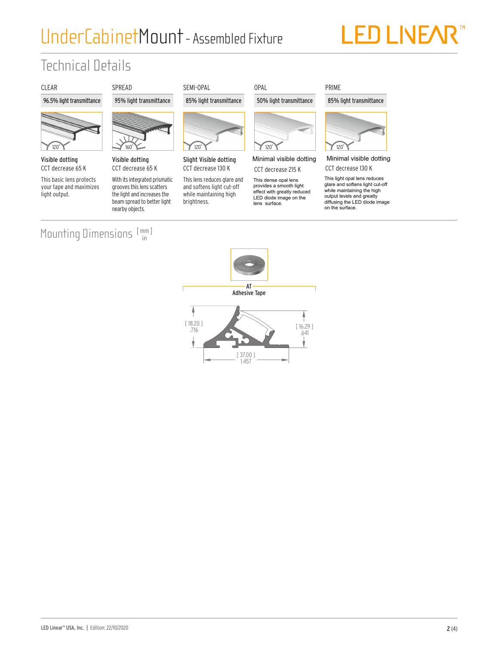# UnderCabinetMount- Assembled Fixture

# **LED LIVEA**

# Technical Details

## CLEAR SPREAD SEMI-OPAL OPAL

## 96.5% light transmittance 95% light transmittance 85% light transmittance 50% light transmittance



Visible dotting CCT decrease 65 K

This basic lens protects your tape and maximizes light output.



CCT decrease 65 K

With its integrated prismatic grooves this lens scatters the light and increases the beam spread to better light nearby objects.



Slight Visible dotting CCT decrease 130 K

This lens reduces glare and and softens light cut-off while maintaining high brightness.



Minimal visible dotting CCT decrease 215 K

This dense opal lens provides a smooth light<br>effect with greatly reduced enect with greatly reduced<br>LED diode image on the provides a smooth light lens surface.

# 120˚

85% light transmittance

PRIME

Minimal visible dotting Minimal visible dotting CCT decrease 130 K

> This light opal lens reduce giare and softens light cut-o<br>while maintaining the bigh while maintaining the riigi diffusing the LED diode image This light opal lens reduces glare and softens light cut-off while maintaining the high on the surface.

### Mounting Dimensions [mm] in

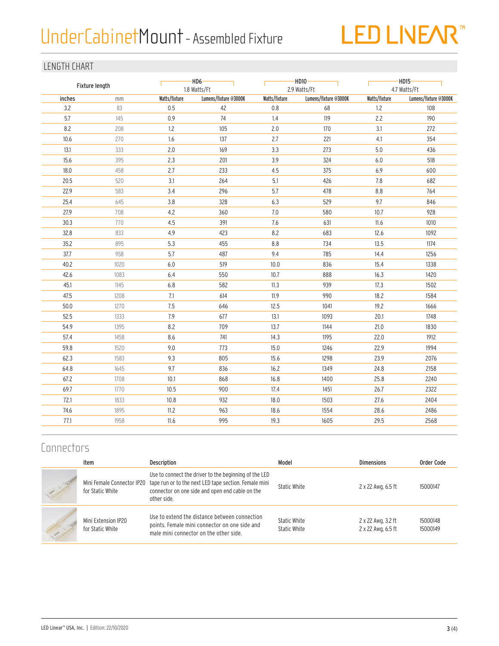# UnderCabinet Mount - Assembled Fixture



## LENGTH CHART

| Fixture length |      | $-HD6-$<br>1.8 Watts/Ft |                       |               | $-HD10 \cdot$<br>2.9 Watts/Ft | $-HD15-$<br>4.7 Watts/Ft |                       |  |
|----------------|------|-------------------------|-----------------------|---------------|-------------------------------|--------------------------|-----------------------|--|
| inches         | mm   | Watts/fixture           | Lumens/fixture @3000K | Watts/fixture | Lumens/fixture @3000K         | Watts/fixture            | Lumens/fixture @3000K |  |
| 3.2            | 83   | 0.5                     | 42                    | 0.8           | 68                            | 1.2                      | 108                   |  |
| 5.7            | 145  | 0.9                     | 74                    | 1.4           | 119                           | 2.2                      | 190                   |  |
| 8.2            | 208  | 1.2                     | 105                   | 2.0           | 170                           | 3.1                      | 272                   |  |
| 10.6           | 270  | 1.6                     | 137                   | 2.7           | 221                           | $4.1\,$                  | 354                   |  |
| 13.1           | 333  | 2.0                     | 169                   | 3.3           | 273                           | 5.0                      | 436                   |  |
| 15.6           | 395  | 2.3                     | 201                   | 3.9           | 324                           | 6.0                      | 518                   |  |
| 18.0           | 458  | 2.7                     | 233                   | 4.5           | 375                           | 6.9                      | 600                   |  |
| 20.5           | 520  | 3.1                     | 264                   | 5.1           | 426                           | 7.8                      | 682                   |  |
| 22.9           | 583  | 3.4                     | 296                   | 5.7           | 478                           | 8.8                      | 764                   |  |
| 25.4           | 645  | 3.8                     | 328                   | 6.3           | 529                           | 9.7                      | 846                   |  |
| 27.9           | 708  | 4.2                     | 360                   | 7.0           | 580                           | 10.7                     | 928                   |  |
| 30.3           | 770  | 4.5                     | 391                   | 7.6           | 631                           | 11.6                     | 1010                  |  |
| 32.8           | 833  | 4.9                     | 423                   | 8.2           | 683                           | 12.6                     | 1092                  |  |
| 35.2           | 895  | 5.3                     | 455                   | 8.8           | 734                           | 13.5                     | 1174                  |  |
| 37.7           | 958  | 5.7                     | 487                   | 9.4           | 785                           | 14.4                     | 1256                  |  |
| 40.2           | 1020 | $6.0\,$                 | 519                   | 10.0          | 836                           | 15.4                     | 1338                  |  |
| 42.6           | 1083 | $6.4$                   | 550                   | 10.7          | 888                           | 16.3                     | 1420                  |  |
| 45.1           | 1145 | 6.8                     | 582                   | 11.3          | 939                           | 17.3                     | 1502                  |  |
| 47.5           | 1208 | 7.1                     | 614                   | 11.9          | 990                           | 18.2                     | 1584                  |  |
| 50.0           | 1270 | 7.5                     | 646                   | 12.5          | 1041                          | 19.2                     | 1666                  |  |
| 52.5           | 1333 | $7.9$                   | 677                   | 13.1          | 1093                          | 20.1                     | 1748                  |  |
| 54.9           | 1395 | 8.2                     | 709                   | 13.7          | 1144                          | 21.0                     | 1830                  |  |
| 57.4           | 1458 | 8.6                     | 741                   | 14.3          | 1195                          | 22.0                     | 1912                  |  |
| 59.8           | 1520 | 9.0                     | 773                   | 15.0          | 1246                          | 22.9                     | 1994                  |  |
| 62.3           | 1583 | 9.3                     | 805                   | 15.6          | 1298                          | 23.9                     | 2076                  |  |
| 64.8           | 1645 | 9.7                     | 836                   | 16.2          | 1349                          | 24.8                     | 2158                  |  |
| 67.2           | 1708 | 10.1                    | 868                   | 16.8          | 1400                          | 25.8                     | 2240                  |  |
| 69.7           | 1770 | 10.5                    | 900                   | 17.4          | 1451                          | 26.7                     | 2322                  |  |
| 72.1           | 1833 | 10.8                    | 932                   | 18.0          | 1503                          | 27.6                     | 2404                  |  |
| 74.6           | 1895 | 11.2                    | 963                   | 18.6          | 1554                          | 28.6                     | 2486                  |  |
| 77.1           | 1958 | 11.6                    | 995                   | 19.3          | 1605                          | 29.5                     | 2568                  |  |
|                |      |                         |                       |               |                               |                          |                       |  |

## **Connectors**

|        | Item                                    | <b>Description</b>                                                                                                                                                                                          | Model                        | <b>Dimensions</b>                        | Order Code           |
|--------|-----------------------------------------|-------------------------------------------------------------------------------------------------------------------------------------------------------------------------------------------------------------|------------------------------|------------------------------------------|----------------------|
|        | for Static White                        | Use to connect the driver to the beginning of the LED<br>Mini Female Connector IP20 tape run or to the next LED tape section. Female mini<br>connector on one side and open end cable on the<br>other side. | Static White                 | 2 x 22 Awg, 6.5 ft                       | 15000147             |
| $\sim$ | Mini Extension IP20<br>for Static White | Use to extend the distance between connection<br>points. Female mini connector on one side and<br>male mini connector on the other side.                                                                    | Static White<br>Static White | 2 x 22 Awg, 3.2 ft<br>2 x 22 Awg, 6.5 ft | 15000148<br>15000149 |